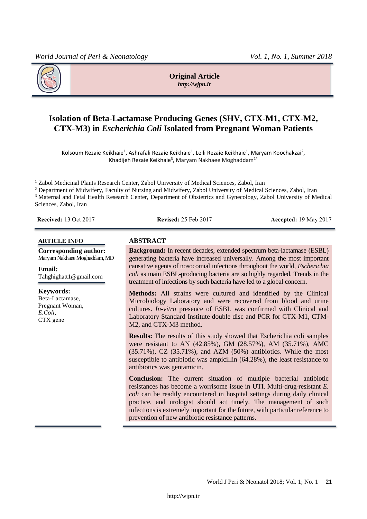

**Original Article** *http://wjpn.ir*

# **Isolation of Beta-Lactamase Producing Genes (SHV, CTX-M1, CTX-M2, CTX-M3) in** *Escherichia Coli* **Isolated from Pregnant Woman Patients**

Kolsoum Rezaie Keikhaie<sup>1</sup>, Ashrafali Rezaie Keikhaie<sup>1</sup>, Leili Rezaie Keikhaie<sup>1</sup>, Maryam Koochakzai<sup>2</sup>, Khadijeh Rezaie Keikhaie<sup>3</sup>, Maryam Nakhaee Moghaddam $^{1*}$ 

<sup>1</sup> Zabol Medicinal Plants Research Center, Zabol University of Medical Sciences, Zabol, Iran

<sup>2</sup> Department of Midwifery, Faculty of Nursing and Midwifery, Zabol University of Medical Sciences, Zabol, Iran <sup>3</sup> Maternal and Fetal Health Research Center, Department of Obstetrics and Gynecology, Zabol University of Medical Sciences, Zabol, Iran

**Received:** 13 Oct 2017 **Revised:** 25 Feb 2017 **Accepted:** 19 May 2017

#### **ARTICLE INFO ABSTRACT**

**Corresponding author:** Maryam Nakhaee Moghaddam, MD

**Email:** Tahghighatt1@gmail.com

**Keywords:** Beta-Lactamase, Pregnant Woman, *E.Coli*, CTX gene

**Background:** In recent decades, extended spectrum beta-lactamase (ESBL) generating bacteria have increased universally. Among the most important causative agents of nosocomial infections throughout the world, *Escherichia coli* as main ESBL-producing bacteria are so highly regarded. Trends in the treatment of infections by such bacteria have led to a global concern.

**Methods:** All strains were cultured and identified by the Clinical Microbiology Laboratory and were recovered from blood and urine cultures. *In-vitro* presence of ESBL was confirmed with Clinical and Laboratory Standard Institute double disc and PCR for CTX-M1, CTM-M2, and CTX-M3 method.

**Results:** The results of this study showed that Escherichia coli samples were resistant to AN (42.85%), GM (28.57%), AM (35.71%), AMC (35.71%), CZ (35.71%), and AZM (50%) antibiotics. While the most susceptible to antibiotic was ampicillin (64.28%), the least resistance to antibiotics was gentamicin.

**Conclusion:** The current situation of multiple bacterial antibiotic resistances has become a worrisome issue in UTI. Multi-drug-resistant *E. coli* can be readily encountered in hospital settings during daily clinical practice, and urologist should act timely. The management of such infections is extremely important for the future, with particular reference to prevention of new antibiotic resistance patterns.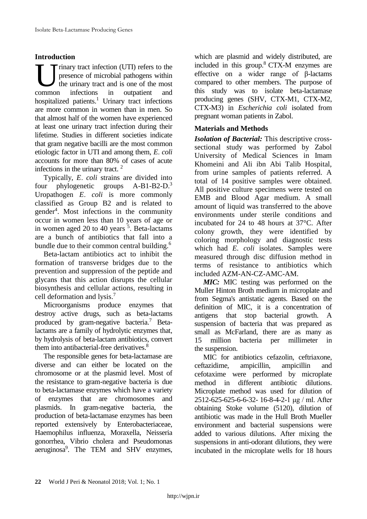## **Introduction**

rinary tract infection (UTI) refers to the presence of microbial pathogens within the urinary tract and is one of the most infections in outpatient and hospitalized patients.<sup>1</sup> Urinary tract infections are more common in women than in men. So that almost half of the women have experienced at least one urinary tract infection during their lifetime. Studies in different societies indicate that gram negative bacilli are the most common etiologic factor in UTI and among them, *E*. *coli* accounts for more than 80% of cases of acute infections in the urinary tract. 2 common

Typically, *E*. *coli* strains are divided into four phylogenetic groups A-B1-B2-D.<sup>3</sup> Uropathogen *E*. *coli* is more commonly classified as Group B2 and is related to gender<sup>4</sup> . Most infections in the community occur in women less than 10 years of age or in women aged 20 to 40 years <sup>5</sup>. Beta-lactams are a bunch of antibiotics that fall into a bundle due to their common central building.<sup>6</sup>

Beta-lactam antibiotics act to inhibit the formation of transverse bridges due to the prevention and suppression of the peptide and glycans that this action disrupts the cellular biosynthesis and cellular actions, resulting in cell deformation and lysis. 7

Microorganisms produce enzymes that destroy active drugs, such as beta-lactams produced by gram-negative bacteria. <sup>7</sup> Betalactams are a family of hydrolytic enzymes that, by hydrolysis of beta-lactam antibiotics, convert them into antibacterial-free derivatives.<sup>8</sup>

The responsible genes for beta-lactamase are diverse and can either be located on the chromosome or at the plasmid level. Most of the resistance to gram-negative bacteria is due to beta-lactamase enzymes which have a variety of enzymes that are chromosomes and plasmids. In gram-negative bacteria, the production of beta-lactamase enzymes has been reported extensively by Enterobacteriaceae, Haemophilus influenza, Moraxella, Neisseria gonorrhea, Vibrio cholera and Pseudomonas aeruginosa<sup>9</sup>. The TEM and SHV enzymes, which are plasmid and widely distributed, are included in this group. $8$  CTX-M enzymes are effective on a wider range of β-lactams compared to other members. The purpose of this study was to isolate beta-lactamase producing genes (SHV, CTX-M1, CTX-M2, CTX-M3) in *Escherichia coli* isolated from pregnant woman patients in Zabol.

## **Materials and Methods**

*Isolation of Bacterial:* This descriptive crosssectional study was performed by Zabol University of Medical Sciences in Imam Khomeini and Ali ibn Abi Talib Hospital, from urine samples of patients referred. A total of 14 positive samples were obtained. All positive culture specimens were tested on EMB and Blood Agar medium. A small amount of liquid was transferred to the above environments under sterile conditions and incubated for 24 to 48 hours at 37°C. After colony growth, they were identified by coloring morphology and diagnostic tests which had *E. coli* isolates. Samples were measured through disc diffusion method in terms of resistance to antibiotics which included AZM-AN-CZ-AMC-AM.

*MIC:* MIC testing was performed on the Muller Hinton Broth medium in microplate and from Segma's antistatic agents. Based on the definition of MIC, it is a concentration of antigens that stop bacterial growth. A suspension of bacteria that was prepared as small as McFarland, there are as many as 15 million bacteria per millimeter in the suspension.

MIC for antibiotics cefazolin, ceftriaxone, ceftazidime, ampicillin, ampicillin and cefotaxime were performed by microplate method in different antibiotic dilutions. Microplate method was used for dilution of 2512-625-625-6-6-32- 16-8-4-2-1 μg / ml. After obtaining Stoke volume (5120), dilution of antibiotic was made in the Hull Broth Mueller environment and bacterial suspensions were added to various dilutions. After mixing the suspensions in anti-odorant dilutions, they were incubated in the microplate wells for 18 hours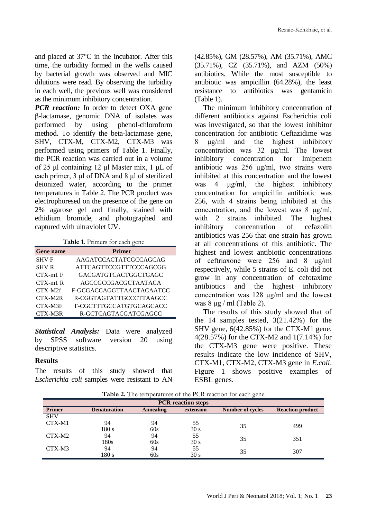and placed at 37°C in the incubator. After this time, the turbidity formed in the wells caused by bacterial growth was observed and MIC dilutions were read. By observing the turbidity in each well, the previous well was considered as the minimum inhibitory concentration.

*PCR reaction:* In order to detect OXA gene β-lactamase, genomic DNA of isolates was performed by using phenol-chloroform method. To identify the beta-lactamase gene, SHV, CTX-M, CTX-M2, CTX-M3 was performed using primers of Table 1. Finally, the PCR reaction was carried out in a volume of 25 μl containing 12 μl Master mix, 1 μL of each primer, 3 μl of DNA and 8 μl of sterilized deionized water, according to the primer temperatures in Table 2. The PCR product was electrophoresed on the presence of the gene on 2% agarose gel and finally, stained with ethidium bromide, and photographed and captured with ultraviolet UV.

**Table 1**. Primers for each gene

| <b>Gene name</b> | <b>Primer</b>               |
|------------------|-----------------------------|
| <b>SHVF</b>      | AAGATCCACTATCGCCAGCAG       |
| <b>SHV R</b>     | ATTCAGTTCCGTTTCCCAGCGG      |
| $CTX-ml$ F       | <b>GACGATGTCACTGGCTGAGC</b> |
| $(TX-m1)$ R      | AGCCGCCGACGCTAATACA         |
| CTX-M2f          | F-GCGACCAGGTTAACTACAATCC    |
| CTX-M2R          | R-CGGTAGTATTGCCCTTAAGCC     |
| CTX-M3F          | F-CGCTTTGCCATGTGCAGCACC     |
| CTX-M3R          | R-GCTCAGTACGATCGAGCC        |

*Statistical Analysis:* Data were analyzed by SPSS software version 20 using descriptive statistics.

#### **Results**

The results of this study showed that *Escherichia coli* samples were resistant to AN (42.85%), GM (28.57%), AM (35.71%), AMC (35.71%), CZ (35.71%), and AZM (50%) antibiotics. While the most susceptible to antibiotic was ampicillin (64.28%), the least resistance to antibiotics was gentamicin (Table 1).

The minimum inhibitory concentration of different antibiotics against Escherichia coli was investigated, so that the lowest inhibitor concentration for antibiotic Ceftazidime was 8 μg/ml and the highest inhibitory concentration was 32 μg/ml. The lowest inhibitory concentration for Imipenem antibiotic was 256 μg/ml, two strains were inhibited at this concentration and the lowest was 4 μg/ml, the highest inhibitory concentration for ampicillin antibiotic was 256, with 4 strains being inhibited at this concentration, and the lowest was 8 μg/ml, with 2 strains inhibited. The highest inhibitory concentration of cefazolin antibiotics was 256 that one strain has grown at all concentrations of this antibiotic. The highest and lowest antibiotic concentrations of ceftriaxone were 256 and 8 μg/ml respectively, while 5 strains of E. coli did not grow in any concentration of cefotaxime antibiotics and the highest inhibitory concentration was 128 μg/ml and the lowest was  $8 \mu g$  / ml (Table 2).

The results of this study showed that of the 14 samples tested, 3(21.42%) for the SHV gene, 6(42.85%) for the CTX-M1 gene, 4(28.57%) for the CTX-M2 and 1(7.14%) for the CTX-M3 gene were positive. These results indicate the low incidence of SHV, CTX-M1, CTX-M2, CTX-M3 gene in *E.coli*. Figure 1 shows positive examples of ESBL genes.

**Table 2.** The temperatures of the PCR reaction for each gene

| <b>PCR</b> reaction steps |                     |                  |                 |                         |                         |  |  |
|---------------------------|---------------------|------------------|-----------------|-------------------------|-------------------------|--|--|
| Primer                    | <b>Denaturation</b> | <b>Annealing</b> | extension       | <b>Number of cycles</b> | <b>Reaction product</b> |  |  |
| <b>SHV</b>                |                     |                  |                 |                         |                         |  |  |
| CTX-M1                    | 94                  | 94               | 55              | 35                      | 499                     |  |  |
|                           | 180s                | 60s              | 30 <sub>s</sub> |                         |                         |  |  |
| CTX-M2                    | 94                  | 94               | 55              | 35                      | 351                     |  |  |
|                           | 180s                | 60s              | 30 <sub>s</sub> |                         |                         |  |  |
| CTX-M3                    | 94                  | 94               | 55              | 35                      | 307                     |  |  |
|                           | 180 s               | 60s              | 30 s            |                         |                         |  |  |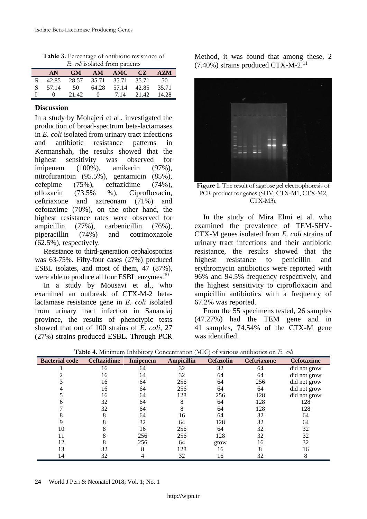| <i>E. coli</i> isolated from patients |          |                               |  |                         |  |            |  |
|---------------------------------------|----------|-------------------------------|--|-------------------------|--|------------|--|
|                                       | AN.      |                               |  | GM AM AMC CZ            |  | <b>AZM</b> |  |
| R.                                    |          | 42.85 28.57 35.71 35.71 35.71 |  |                         |  | 50         |  |
|                                       | S 57.14  | 50                            |  | 64.28 57.14 42.85 35.71 |  |            |  |
|                                       | $\Omega$ | 21.42                         |  | 0 7.14 21.42 14.28      |  |            |  |

**Table 3.** Percentage of antibiotic resistance of

#### **Discussion**

In a study by Mohajeri et al., investigated the production of broad-spectrum beta-lactamases in *E. coli* isolated from urinary tract infections and antibiotic resistance patterns in Kermanshah, the results showed that the highest sensitivity was observed for imipenem (100%), amikacin (97%), nitrofurantoin (95.5%), gentamicin (85%), cefepime (75%), ceftazidime (74%), ofloxacin (73.5% %), Ciprofloxacin, ceftriaxone and aztreonam (71%) and cefotaxime (70%), on the other hand, the highest resistance rates were observed for ampicillin (77%), carbenicillin (76%), piperacillin (74%) and cotrimoxazole (62.5%), respectively.

Resistance to third-generation cephalosporins was 63-75%. Fifty-four cases (27%) produced ESBL isolates, and most of them, 47 (87%), were able to produce all four ESBL enzymes.<sup>10</sup>

In a study by Mousavi et al., who examined an outbreak of CTX-M-2 betalactamase resistance gene in *E. coli* isolated from urinary tract infection in Sanandaj province, the results of phenotypic tests showed that out of 100 strains of *E. coli*, 27 (27%) strains produced ESBL. Through PCR

Method, it was found that among these, 2  $(7.40\%)$  strains produced CTX-M-2.<sup>11</sup>



**Figure 1.** The result of agarose gel electrophoresis of PCR product for genes (SHV, CTX-M1, CTX-M2, CTX-M3).

In the study of Mira Elmi et al. who examined the prevalence of TEM-SHV-CTX-M genes isolated from *E. coli* strains of urinary tract infections and their antibiotic resistance, the results showed that the highest resistance to penicillin and erythromycin antibiotics were reported with 96% and 94.5% frequency respectively, and the highest sensitivity to ciprofloxacin and ampicillin antibiotics with a frequency of 67.2% was reported.

From the 55 specimens tested, 26 samples (47.27%) had the TEM gene and in 41 samples, 74.54% of the CTX-M gene was identified.

| <b>Bacterial code</b> | <b>Ceftazidime</b> | <b>Imipenem</b> | <b>Ampicillin</b> | <b>Cefazolin</b> | <b>Ceftriaxone</b> | <b>Cefotaxime</b> |
|-----------------------|--------------------|-----------------|-------------------|------------------|--------------------|-------------------|
|                       | 16                 | 64              | 32                | 32               | 64                 | did not grow      |
|                       | 16                 | 64              | 32                | 64               | 64                 | did not grow      |
|                       | 16                 | 64              | 256               | 64               | 256                | did not grow      |
|                       | 16                 | 64              | 256               | 64               | 64                 | did not grow      |
|                       | 16                 | 64              | 128               | 256              | 128                | did not grow      |
|                       | 32                 | 64              | 8                 | 64               | 128                | 128               |
|                       | 32                 | 64              | 8                 | 64               | 128                | 128               |
|                       | 8                  | 64              | 16                | 64               | 32                 | 64                |
|                       |                    | 32              | 64                | 128              | 32                 | 64                |
| 10                    |                    | 16              | 256               | 64               | 32                 | 32                |
| 11                    |                    | 256             | 256               | 128              | 32                 | 32                |
| 12                    |                    | 256             | 64                | grow             | 16                 | 32                |
| 13                    | 32                 | 8               | 128               | 16               | 8                  | 16                |
| 14                    | 32                 |                 | 32                | 16               | 32                 | 8                 |

**Table 4.** Minimum Inhibitory Concentration (MIC) of various antibiotics on *E. coli*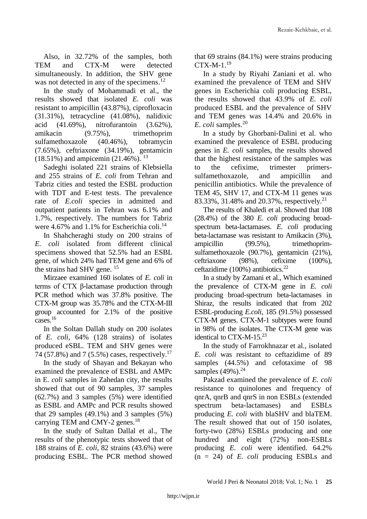Also, in 32.72% of the samples, both TEM and CTX-M were detected simultaneously. In addition, the SHV gene was not detected in any of the specimens.<sup>12</sup>

In the study of Mohammadi et al., the results showed that isolated *E. coli* was resistant to ampicillin (43.87%), ciprofloxacin (31.31%), tetracycline (41.08%), nalidixic acid (41.69%), nitrofurantoin (3.62%), amikacin (9.75%), trimethoprim sulfamethoxazole (40.46%), tobramycin (7.65%), ceftriaxone (34.19%), gentamicin (18.51%) and ampicemin (21.46%). <sup>13</sup>

Sadeghi isolated 221 strains of Klebsiella and 255 strains of *E. coli* from Tehran and Tabriz cities and tested the ESBL production with TDT and E-test tests. The prevalence rate of *E.coli* species in admitted and outpatient patients in Tehran was 6.1% and 1.7%, respectively. The numbers for Tabriz were 4.67% and 1.1% for Escherichia coli.<sup>14</sup>

In Shahcheraghi study on 200 strains of *E. coli* isolated from different clinical specimens showed that 52.5% had an ESBL gene, of which 24% had TEM gene and 6% of the strains had SHV gene.<sup>15</sup>

Mirzaee examined 160 isolates of *E. coli* in terms of CTX β-lactamase production through PCR method which was 37.8% positive. The CTX-M group was 35.78% and the CTX-M-III group accounted for 2.1% of the positive cases. 16

In the Soltan Dallah study on 200 isolates of *E. coli*, 64% (128 strains) of isolates produced eSBL. TEM and SHV genes were 74 (57.8%) and 7 (5.5%) cases, respectively.<sup>17</sup>

In the study of Shayan and Bekayan who examined the prevalence of ESBL and AMPc in E. *coli* samples in Zahedan city, the results showed that out of 90 samples, 37 samples (62.7%) and 3 samples (5%) were identified as ESBL and AMPc and PCR results showed that 29 samples  $(49.1\%)$  and 3 samples  $(5\%)$ carrying TEM and CMY-2 genes.<sup>18</sup>

In the study of Sultan Dallal et al., The results of the phenotypic tests showed that of 188 strains of *E. coli,* 82 strains (43.6%) were producing ESBL. The PCR method showed

that 69 strains (84.1%) were strains producing  $CTX-M-1.<sup>19</sup>$ 

In a study by Riyahi Zaniani et al. who examined the prevalence of TEM and SHV genes in Escherichia coli producing ESBL, the results showed that 43.9% of *E. coli* produced ESBL and the prevalence of SHV and TEM genes was 14.4% and 20.6% in *E. coli* samples. 20

In a study by Ghorbani-Dalini et al. who examined the prevalence of ESBL producing genes in *E. coli* samples, the results showed that the highest resistance of the samples was to the cefixime, trimester primerssulfamethoxazole, and ampicillin and penicillin antibiotics. While the prevalence of TEM 45, SHV 17, and CTX-M 11 genes was 83.33%, 31.48% and 20.37%, respectively.<sup>21</sup>

The results of Khaledi et al. Showed that 108 (28.4%) of the 380 *E. coli* producing broadspectrum beta-lactamases. *E. coli* producing beta-lactamase was resistant to Amikacin (3%), ampicillin (99.5%), trimethoprimsulfamethoxazole (90.7%), gentamicin (21%), ceftriaxone (98%), cefixime (100%), ceftazidime (100%) antibiotics. 22

In a study by Zamani et al., Which examined the prevalence of CTX-M gene in *E. coli* producing broad-spectrum beta-lactamases in Shiraz, the results indicated that from 202 ESBL-producing *E.coli*, 185 (91.5%) possessed CTX-M genes. CTX-M-1 subtypes were found in 98% of the isolates. The CTX-M gene was identical to CTX-M-15.<sup>23</sup>

In the study of Farrokhnazar et al., isolated *E. coli* was resistant to ceftazidime of 89 samples (44.5%) and cefotaxime of 98 samples (49%).<sup>24</sup>

Pakzad examined the prevalence of *E. coli* resistance to quinolones and frequency of qnrA, qnrB and qnrS in non ESBLs (extended spectrum beta-lactamases) and ESBLs producing *E. coli* with blaSHV and blaTEM. The result showed that out of 150 isolates, forty-two (28%) ESBLs producing and one hundred and eight (72%) non-ESBLs producing *E. coli* were identified. 64.2% (n = 24) of *E. coli* producing ESBLs and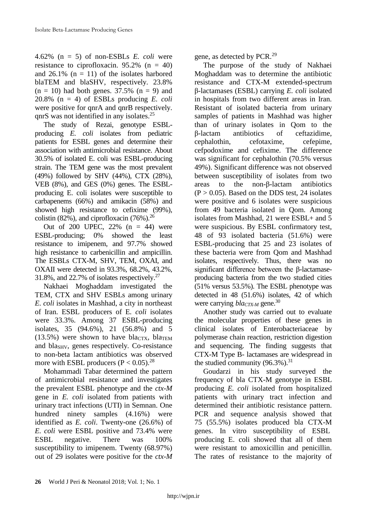4.62% (n = 5) of non-ESBLs *E. coli* were resistance to ciprofloxacin.  $95.2\%$  (n = 40) and  $26.1\%$  (n = 11) of the isolates harbored blaTEM and blaSHV, respectively. 23.8%  $(n = 10)$  had both genes. 37.5%  $(n = 9)$  and 20.8% (n = 4) of ESBLs producing *E. coli* were positive for qnrA and qnrB respectively. qnrS was not identified in any isolates.<sup>25</sup>

The study of Rezai, genotype ESBLproducing *E. coli* isolates from pediatric patients for ESBL genes and determine their association with antimicrobial resistance. About 30.5% of isolated E. coli was ESBL-producing strain. The TEM gene was the most prevalent (49%) followed by SHV (44%), CTX (28%), VEB (8%), and GES (0%) genes. The ESBLproducing E. coli isolates were susceptible to carbapenems (66%) and amikacin (58%) and showed high resistance to cefixime (99%), colistin (82%), and ciprofloxacin  $(76%)$ .<sup>26</sup>

Out of 200 UPEC,  $22\%$  (n = 44) were ESBL-producing; 0% showed the least resistance to imipenem, and 97.7% showed high resistance to carbenicillin and ampicillin. The ESBLs CTX-M, SHV, TEM, OXAI, and OXAII were detected in 93.3%, 68.2%, 43.2%, 31.8%, and 22.7% of isolates respectively. 27

Nakhaei Moghaddam investigated the TEM, CTX and SHV ESBLs among urinary *E. coli* isolates in Mashhad, a city in northeast of Iran. ESBL producers of E*. coli* isolates were 33.3%. Among 37 ESBL-producing isolates, 35 (94.6%), 21 (56.8%) and 5  $(13.5%)$  were shown to have bla<sub>CTX</sub>, bla<sub>TEM</sub> and bla<sub>SHV</sub>, genes respectively. Co-resistance to non-beta lactam antibiotics was observed more with ESBL producers  $(P < 0.05)$ .<sup>28</sup>

Mohammadi Tabar determined the pattern of antimicrobial resistance and investigates the prevalent ESBL phenotype and the *ctx-M* gene in *E. coli* isolated from patients with urinary tract infections (UTI) in Semnan. One hundred ninety samples (4.16%) were identified as *E. coli*. Twenty-one (26.6%) of *E. coli* were ESBL positive and 73.4% were ESBL negative. There was 100% susceptibility to imipenem. Twenty (68.97%) out of 29 isolates were positive for the *ctx-M*

gene, as detected by PCR.<sup>29</sup>

The purpose of the study of Nakhaei Moghaddam was to determine the antibiotic resistance and CTX-M extended-spectrum β-lactamases (ESBL) carrying *E. coli* isolated in hospitals from two different areas in Iran. Resistant of isolated bacteria from urinary samples of patients in Mashhad was higher than of urinary isolates in Qom to the β-lactam antibiotics of ceftazidime, cephalothin, cefotaxime, cefepime, cefpodoxime and cefixime. The difference was significant for cephalothin (70.5% versus 49%). Significant difference was not observed between susceptibility of isolates from two areas to the non-β-lactam antibiotics  $(P > 0.05)$ . Based on the DDS test, 24 isolates were positive and 6 isolates were suspicious from 49 bacteria isolated in Qom. Among isolates from Mashhad, 21 were ESBL+ and 5 were suspicious. By ESBL confirmatory test, 48 of 93 isolated bacteria (51.6%) were ESBL-producing that 25 and 23 isolates of these bacteria were from Qom and Mashhad isolates, respectively. Thus, there was no significant difference between the β-lactamaseproducing bacteria from the two studied cities (51% versus 53.5%). The ESBL phenotype was detected in 48 (51.6%) isolates, 42 of which were carrying *blaCTX-M* gene.<sup>30</sup>

Another study was carried out to evaluate the molecular properties of these genes in clinical isolates of Enterobacteriaceae by polymerase chain reaction, restriction digestion and sequencing. The finding suggests that CTX-M Type B- lactamases are widespread in the studied community  $(96.3\%)$ <sup>31</sup>

Goudarzi in his study surveyed the frequency of bla CTX-M genotype in ESBL producing *E. coli* isolated from hospitalized patients with urinary tract infection and determined their antibiotic resistance pattern. PCR and sequence analysis showed that 75 (55.5%) isolates produced bla CTX-M genes. In vitro susceptibility of ESBL producing E. coli showed that all of them were resistant to amoxicillin and penicillin. The rates of resistance to the majority of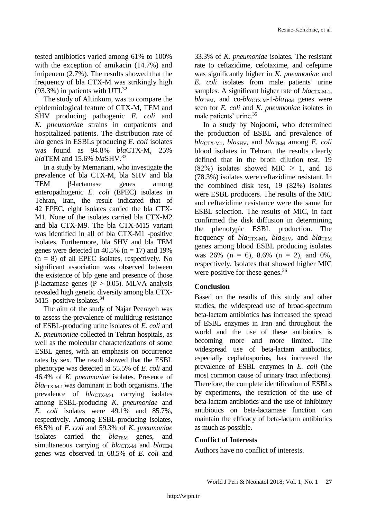tested antibiotics varied among 61% to 100% with the exception of amikacin (14.7%) and imipenem (2.7%). The results showed that the frequency of bla CTX-M was strikingly high  $(93.3\%)$  in patients with UTI.<sup>32</sup>

The study of Altinkum, was to compare the epidemiological feature of CTX-M, TEM and SHV producing pathogenic *E. coli* and *K. pneumoniae* strains in outpatients and hospitalized patients. The distribution rate of *bla* genes in ESBLs producing *E. coli* isolates was found as 94.8% *bla*CTX-M, 25% *bla*TEM and 15.6% *bla*SHV. 33

In a study by Memariani, who investigate the prevalence of bla CTX-M, bla SHV and bla TEM β-lactamase genes among enteropathogenic *E. coli* (EPEC) isolates in Tehran, Iran, the result indicated that of 42 EPEC, eight isolates carried the bla CTX-M1. None of the isolates carried bla CTX-M2 and bla CTX-M9. The bla CTX-M15 variant was identified in all of bla CTX-M1 -positive isolates. Furthermore, bla SHV and bla TEM genes were detected in  $40.5\%$  (n = 17) and 19%  $(n = 8)$  of all EPEC isolates, respectively. No significant association was observed between the existence of bfp gene and presence of those β-lactamase genes (P > 0.05). MLVA analysis revealed high genetic diversity among bla CTX-M15 -positive isolates.<sup>34</sup>

The aim of the study of Najar Peerayeh was to assess the prevalence of multidrug resistance of ESBL-producing urine isolates of *E. coli* and *K. pneumoniae* collected in Tehran hospitals, as well as the molecular characterizations of some ESBL genes, with an emphasis on occurrence rates by sex. The result showed that the ESBL phenotype was detected in 55.5% of *E. coli* and 46.4% of *K. pneumoniae* isolates. Presence of *bla*CTX-M-1 was dominant in both organisms. The prevalence of *blacTX-M-1* carrying isolates among ESBL-producing *K. pneumoniae* and *E. coli* isolates were 49.1% and 85.7%, respectively. Among ESBL-producing isolates, 68.5% of *E. coli* and 59.3% of *K. pneumoniae* isolates carried the *bla*TEM genes, and simultaneous carrying of *bla*CTX-M and *bla*TEM genes was observed in 68.5% of *E. coli* and

33.3% of *K. pneumoniae* isolates. The resistant rate to ceftazidime, cefotaxime, and cefepime was significantly higher in *K. pneumoniae* and *E. coli* isolates from male patients' urine samples. A significant higher rate of *bla*CTX-M-1, *bla*TEM, and co-*bla*CTX-M-1-*bla*TEM genes were seen for *E. coli* and *K. pneumoniae* isolates in male patients' urine. 35

In a study by Nojoomi**,** who determined the production of ESBL and prevalence of *bla*CTX-M1, *bla*SHV, and *bla*TEM among *E. coli* blood isolates in Tehran, the results clearly defined that in the broth dilution test, 19 (82%) isolates showed MIC  $\geq$  1, and 18 (78.3%) isolates were ceftazidime resistant. In the combined disk test, 19 (82%) isolates were ESBL producers. The results of the MIC and ceftazidime resistance were the same for ESBL selection. The results of MIC, in fact confirmed the disk diffusion in determining the phenotypic ESBL production. The frequency of *bla*cTX-M<sub>1</sub>, *bla*<sub>SHV</sub>, and *bla*TEM genes among blood ESBL producing isolates was 26% ( $n = 6$ ), 8.6% ( $n = 2$ ), and 0%, respectively. Isolates that showed higher MIC were positive for these genes.<sup>36</sup>

## **Conclusion**

Based on the results of this study and other studies, the widespread use of broad-spectrum beta-lactam antibiotics has increased the spread of ESBL enzymes in Iran and throughout the world and the use of these antibiotics is becoming more and more limited. The widespread use of beta-lactam antibiotics, especially cephalosporins, has increased the prevalence of ESBL enzymes in *E. coli* (the most common cause of urinary tract infections). Therefore, the complete identification of ESBLs by experiments, the restriction of the use of beta-lactam antibiotics and the use of inhibitory antibiotics on beta-lactamase function can maintain the efficacy of beta-lactam antibiotics as much as possible.

## **Conflict of Interests**

Authors have no conflict of interests.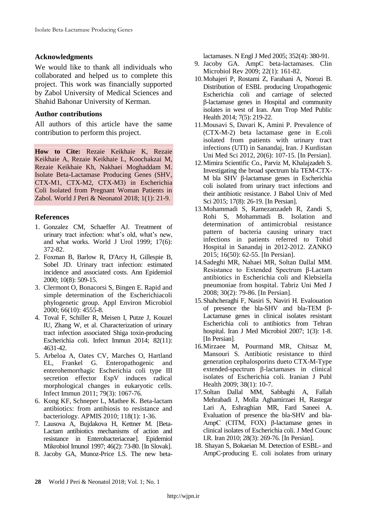#### **Acknowledgments**

We would like to thank all individuals who collaborated and helped us to complete this project. This work was financially supported by Zabol University of Medical Sciences and Shahid Bahonar University of Kerman.

#### **Author contributions**

All authors of this article have the same contribution to perform this project.

**How to Cite:** Rezaie Keikhaie K, Rezaie Keikhaie A, Rezaie Keikhaie L, Koochakzai M, Rezaie Keikhaie Kh, Nakhaei Moghaddam M. Isolate Beta-Lactamase Producing Genes (SHV, CTX-M1, CTX-M2, CTX-M3) in Escherichia Coli Isolated from Pregnant Woman Patients in Zabol. World J Peri & Neonatol 2018; 1(1): 21-9.

### **References**

- 1. Gonzalez CM, Schaeffer AJ. Treatment of urinary tract infection: what's old, what's new, and what works. World J Urol 1999; 17(6): 372-82.
- 2. [Foxman B,](https://www.ncbi.nlm.nih.gov/pubmed/?term=Foxman%20B%5BAuthor%5D&cauthor=true&cauthor_uid=11118930) [Barlow R,](https://www.ncbi.nlm.nih.gov/pubmed/?term=Barlow%20R%5BAuthor%5D&cauthor=true&cauthor_uid=11118930) [D'Arcy H,](https://www.ncbi.nlm.nih.gov/pubmed/?term=D) [Gillespie B,](https://www.ncbi.nlm.nih.gov/pubmed/?term=Gillespie%20B%5BAuthor%5D&cauthor=true&cauthor_uid=11118930) [Sobel JD.](https://www.ncbi.nlm.nih.gov/pubmed/?term=Sobel%20JD%5BAuthor%5D&cauthor=true&cauthor_uid=11118930) Urinary tract infection: estimated incidence and associated costs. Ann Epidemiol 2000; 10(8): 509-15.
- 3. Clermont O, Bonacorsi S, Bingen E. Rapid and simple determination of the Escherichiacoli phylogenetic group. Appl Environ Microbiol 2000; 66(10): 4555-8.
- 4. Toval F, Schiller R, Meisen I, Putze J, Kouzel IU, Zhang W, et al. Characterization of urinary tract infection associated Shiga toxin-producing Escherichia coli. Infect Immun 2014; 82(11): 4631-42.
- 5. Arbeloa A, Oates CV, Marches O, Hartland EL, Frankel G. Enteropathogenic and enterohemorrhagic Escherichia coli type III secretion effector EspV induces radical morphological changes in eukaryotic cells. Infect Immun 2011; 79(3): 1067-76.
- 6. Kong KF, Schneper L, Mathee K. Beta-lactam antibiotics: from antibiosis to resistance and bacteriology. APMIS 2010; 118(1): 1-36.
- 7. Lausova A, Bujdakova H, Kettner M. [Beta-Lactam antibiotics mechanisms of action and resistance in Enterobacteriaceae]. Epidemiol Mikrobiol Imunol 1997; 46(2): 73-80. [In Slovak].
- 8. Jacoby GA, Munoz-Price LS. The new beta-

lactamases. N Engl J Med 2005; 352(4): 380-91.

- 9. Jacoby GA. AmpC beta-lactamases. Clin Microbiol Rev 2009; 22(1): 161-82.
- 10.Mohajeri P, Rostami Z, Farahani A, Norozi B. Distribution of ESBL producing Uropathogenic Escherichia coli and carriage of selected β-lactamase genes in Hospital and community isolates in west of Iran. Ann Trop Med Public Health 2014; 7(5): 219-22.
- 11.Mousavi S, Davari K, Amini P. [Prevalence of](https://sjku.muk.ac.ir/article-1-2150-en.pdf)  [\(CTX-M-2\) beta lactamase gene in E.coli](https://sjku.muk.ac.ir/article-1-2150-en.pdf)  [isolated from patients with urinary tract](https://sjku.muk.ac.ir/article-1-2150-en.pdf)  [infections \(UTI\) in Sanandaj, Iran.](https://sjku.muk.ac.ir/article-1-2150-en.pdf) J Kurdistan Uni Med Sci 2012, 20(6): 107-15. [In Persian].
- 12.Mimira Scientific Co., Parviz M, Khalajzadeh S. Investigating the broad spectrum bla TEM-CTX-M bla SHV β-lactamase genes in Escherichia coli isolated from urinary tract infections and their antibiotic resistance. J Babol Univ of Med Sci 2015; 17(8): 26-19. [In Persian].
- 13.Mohammadi S, Ramezanzadeh R, Zandi S, Rohi S, Mohammadi B. Isolation and determination of antimicrobial resistance pattern of bacteria causing urinary tract infections in patients referred to Tohid Hospital in Sanandaj in 2012-2012. ZANKO 2015; 16(50): 62-55. [In Persian].
- 14.Sadeghi MR, Nahaei MR, Soltan Dallal MM. Resistance to Extended Spectrum β-Lactam antibiotics in Escherichia coli and Klebsiella pneumoniae from hospital. Tabriz Uni Med J 2008; 30(2): 79-86. [In Persian].
- 15.Shahcheraghi F, Nasiri S, Naviri H. Evalouation of presence the bla-SHV and bla-TEM β-Lactamase genes in clinical isolates resistant Escherichia coli to antibiotics from Tehran hospital. Iran J Med Microbiol 2007; 1(3): 1-8. [In Persian].
- 16.Mirzaee M, Pourmand MR, Chitsaz M, Mansouri S. Antibiotic resistance to third generation cephalosporins dueto CTX-M-Type extended-spectrum β-lactamases in clinical isolates of Escherichia coli. Iranian J Publ Health 2009; 38(1): 10-7.
- 17.Soltan Dallal MM, Sabbaghi A, Fallah Mehrabadi J, Molla Aghamirzaei H, Rastegar Lari A, Eshraghian MR, Fard Saneei A. Evaluation of presence the bla-SHV and bla-AmpC (CITM, FOX) β-lactamase genes in clinical isolates of Escherichia coli. J Med Counc I.R. Iran 2010; 28(3): 269-76. [In Persian].
- 18. [Shayan](https://www.ncbi.nlm.nih.gov/pubmed/?term=Shayan%20S%5BAuthor%5D&cauthor=true&cauthor_uid=26605249) S, [Bokaeian](https://www.ncbi.nlm.nih.gov/pubmed/?term=Bokaeian%20M%5BAuthor%5D&cauthor=true&cauthor_uid=26605249) M. Detection of ESBL- and AmpC-producing E. coli isolates from urinary